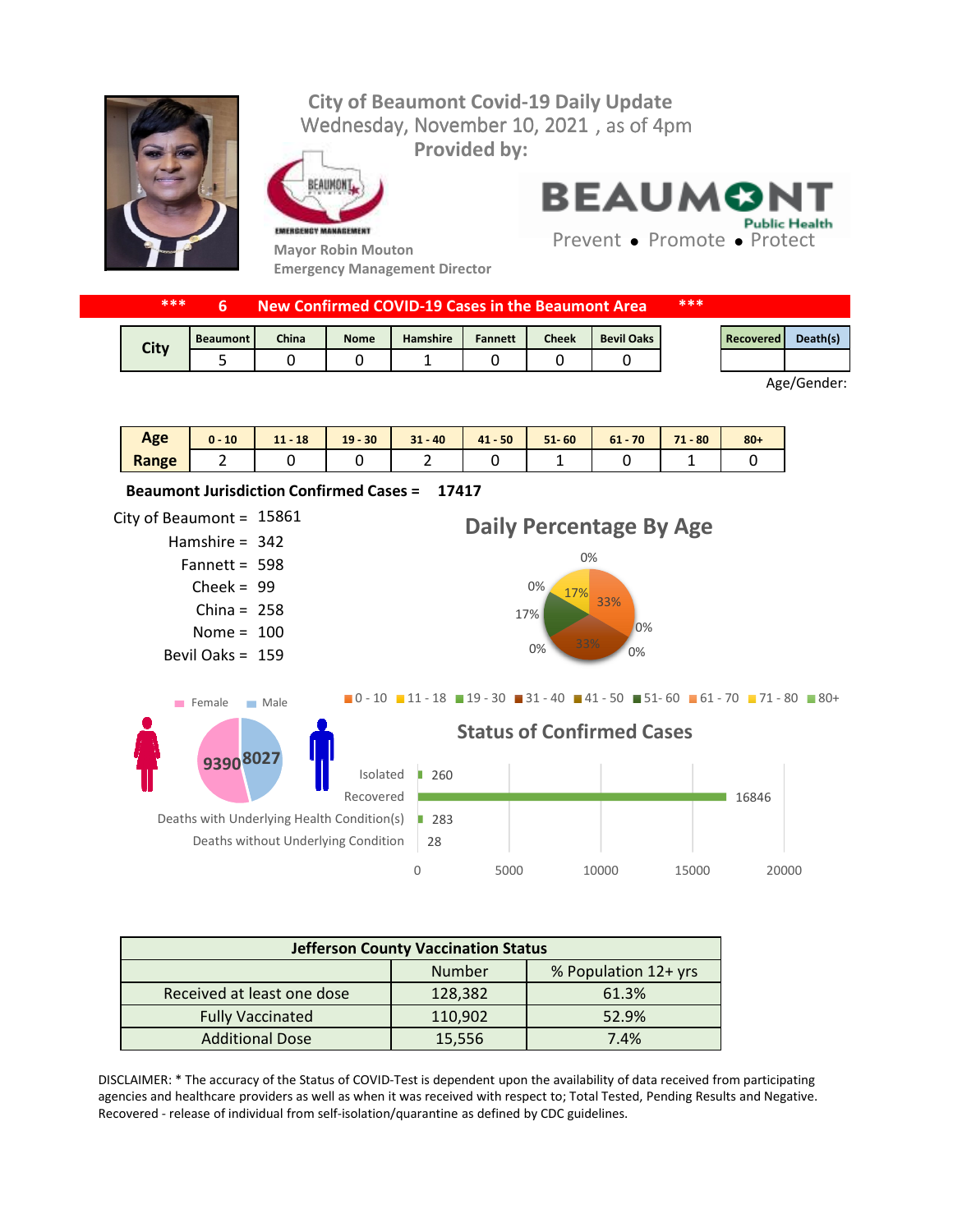## Wednesday, November 10, 2021, as of 4pm **City of Beaumont Covid-19 Daily Update Provided by:**



EAUMONT

**Emergency Management Director**



**17417 Beaumont Jurisdiction Confirmed Cases =** 

**BEAUMON Public Health** 

Prevent • Promote • Protect

| ***         |                 |              |             | New Confirmed COVID-19 Cases in the Beaumont Area |                |              |                   | *** |           |          |
|-------------|-----------------|--------------|-------------|---------------------------------------------------|----------------|--------------|-------------------|-----|-----------|----------|
| <b>City</b> | <b>Beaumont</b> | <b>China</b> | <b>Nome</b> | Hamshire                                          | <b>Fannett</b> | <b>Cheek</b> | <b>Bevil Oaks</b> |     | Recovered | Death(s) |
|             |                 |              |             |                                                   |                |              |                   |     |           |          |

Age/Gender:

| Age   | 10<br>0 - | $-18$<br>11 | $-30$<br>19 | $31 - 40$ | $41 - 50$ | $51 - 60$ | 61<br>$-70$ | 71<br>$-80$<br>л. | $80 +$ |
|-------|-----------|-------------|-------------|-----------|-----------|-----------|-------------|-------------------|--------|
| Range |           |             |             |           |           |           |             |                   |        |

City of Beaumont =  $15861$ Hamshire = 342 Fannett = 598  $Check = 99$ China =  $258$ Nome =  $100$ Bevil Oaks = 159 28 ■ 283 16846 ■ 260 0 5000 10000 15000 20000 Deaths without Underlying Condition Deaths with Underlying Health Condition(s) Recovered Isolated **Status of Confirmed Cases** 33% 0% 0% 0% 33% 17%  $0\%$  17% 0% **Daily Percentage By Age**  $\blacksquare$ 0 - 10  $\blacksquare$  11 - 18  $\blacksquare$  19 - 30  $\blacksquare$  31 - 40  $\blacksquare$  41 - 50  $\blacksquare$  51 - 60  $\blacksquare$  61 - 70  $\blacksquare$  71 - 80  $\blacksquare$  80 + **8027 9390** Female Male

| <b>Jefferson County Vaccination Status</b> |         |       |  |  |
|--------------------------------------------|---------|-------|--|--|
| % Population 12+ yrs<br>Number             |         |       |  |  |
| Received at least one dose                 | 128,382 | 61.3% |  |  |
| <b>Fully Vaccinated</b>                    | 110,902 | 52.9% |  |  |
| <b>Additional Dose</b>                     | 15,556  | 7.4%  |  |  |

DISCLAIMER: \* The accuracy of the Status of COVID-Test is dependent upon the availability of data received from participating agencies and healthcare providers as well as when it was received with respect to; Total Tested, Pending Results and Negative. Recovered - release of individual from self-isolation/quarantine as defined by CDC guidelines.